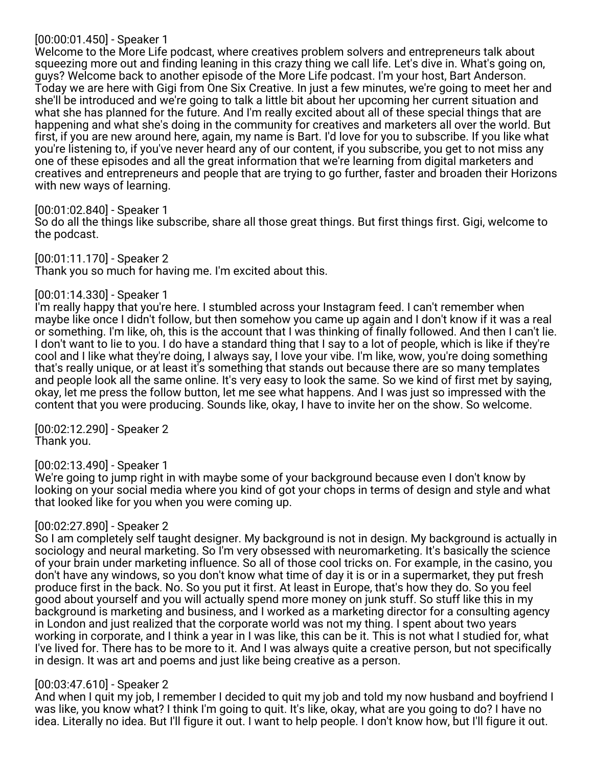## [00:00:01.450] - Speaker 1

Welcome to the More Life podcast, where creatives problem solvers and entrepreneurs talk about squeezing more out and finding leaning in this crazy thing we call life. Let's dive in. What's going on, guys? Welcome back to another episode of the More Life podcast. I'm your host, Bart Anderson. Today we are here with Gigi from One Six Creative. In just a few minutes, we're going to meet her and she'll be introduced and we're going to talk a little bit about her upcoming her current situation and what she has planned for the future. And I'm really excited about all of these special things that are happening and what she's doing in the community for creatives and marketers all over the world. But first, if you are new around here, again, my name is Bart. I'd love for you to subscribe. If you like what you're listening to, if you've never heard any of our content, if you subscribe, you get to not miss any one of these episodes and all the great information that we're learning from digital marketers and creatives and entrepreneurs and people that are trying to go further, faster and broaden their Horizons with new ways of learning.

[00:01:02.840] - Speaker 1

So do all the things like subscribe, share all those great things. But first things first. Gigi, welcome to the podcast.

[00:01:11.170] - Speaker 2 Thank you so much for having me. I'm excited about this.

#### [00:01:14.330] - Speaker 1

I'm really happy that you're here. I stumbled across your Instagram feed. I can't remember when maybe like once I didn't follow, but then somehow you came up again and I don't know if it was a real or something. I'm like, oh, this is the account that I was thinking of finally followed. And then I can't lie. I don't want to lie to you. I do have a standard thing that I say to a lot of people, which is like if they're cool and I like what they're doing, I always say, I love your vibe. I'm like, wow, you're doing something that's really unique, or at least it's something that stands out because there are so many templates and people look all the same online. It's very easy to look the same. So we kind of first met by saying, okay, let me press the follow button, let me see what happens. And I was just so impressed with the content that you were producing. Sounds like, okay, I have to invite her on the show. So welcome.

[00:02:12.290] - Speaker 2 Thank you.

## [00:02:13.490] - Speaker 1

We're going to jump right in with maybe some of your background because even I don't know by looking on your social media where you kind of got your chops in terms of design and style and what that looked like for you when you were coming up.

## [00:02:27.890] - Speaker 2

So I am completely self taught designer. My background is not in design. My background is actually in sociology and neural marketing. So I'm very obsessed with neuromarketing. It's basically the science of your brain under marketing influence. So all of those cool tricks on. For example, in the casino, you don't have any windows, so you don't know what time of day it is or in a supermarket, they put fresh produce first in the back. No. So you put it first. At least in Europe, that's how they do. So you feel good about yourself and you will actually spend more money on junk stuff. So stuff like this in my background is marketing and business, and I worked as a marketing director for a consulting agency in London and just realized that the corporate world was not my thing. I spent about two years working in corporate, and I think a year in I was like, this can be it. This is not what I studied for, what I've lived for. There has to be more to it. And I was always quite a creative person, but not specifically in design. It was art and poems and just like being creative as a person.

## [00:03:47.610] - Speaker 2

And when I quit my job, I remember I decided to quit my job and told my now husband and boyfriend I was like, you know what? I think I'm going to quit. It's like, okay, what are you going to do? I have no idea. Literally no idea. But I'll figure it out. I want to help people. I don't know how, but I'll figure it out.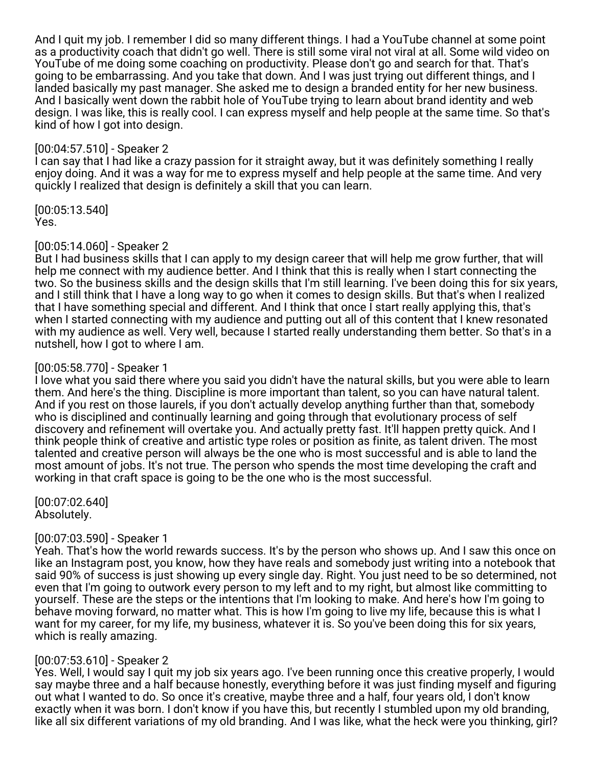And I quit my job. I remember I did so many different things. I had a YouTube channel at some point as a productivity coach that didn't go well. There is still some viral not viral at all. Some wild video on YouTube of me doing some coaching on productivity. Please don't go and search for that. That's going to be embarrassing. And you take that down. And I was just trying out different things, and I landed basically my past manager. She asked me to design a branded entity for her new business. And I basically went down the rabbit hole of YouTube trying to learn about brand identity and web design. I was like, this is really cool. I can express myself and help people at the same time. So that's kind of how I got into design.

#### [00:04:57.510] - Speaker 2

I can say that I had like a crazy passion for it straight away, but it was definitely something I really enjoy doing. And it was a way for me to express myself and help people at the same time. And very quickly I realized that design is definitely a skill that you can learn.

[00:05:13.540] Yes.

#### [00:05:14.060] - Speaker 2

But I had business skills that I can apply to my design career that will help me grow further, that will help me connect with my audience better. And I think that this is really when I start connecting the two. So the business skills and the design skills that I'm still learning. I've been doing this for six years, and I still think that I have a long way to go when it comes to design skills. But that's when I realized that I have something special and different. And I think that once I start really applying this, that's when I started connecting with my audience and putting out all of this content that I knew resonated with my audience as well. Very well, because I started really understanding them better. So that's in a nutshell, how I got to where I am.

#### [00:05:58.770] - Speaker 1

I love what you said there where you said you didn't have the natural skills, but you were able to learn them. And here's the thing. Discipline is more important than talent, so you can have natural talent. And if you rest on those laurels, if you don't actually develop anything further than that, somebody who is disciplined and continually learning and going through that evolutionary process of self discovery and refinement will overtake you. And actually pretty fast. It'll happen pretty quick. And I think people think of creative and artistic type roles or position as finite, as talent driven. The most talented and creative person will always be the one who is most successful and is able to land the most amount of jobs. It's not true. The person who spends the most time developing the craft and working in that craft space is going to be the one who is the most successful.

[00:07:02.640] Absolutely.

#### [00:07:03.590] - Speaker 1

Yeah. That's how the world rewards success. It's by the person who shows up. And I saw this once on like an Instagram post, you know, how they have reals and somebody just writing into a notebook that said 90% of success is just showing up every single day. Right. You just need to be so determined, not even that I'm going to outwork every person to my left and to my right, but almost like committing to yourself. These are the steps or the intentions that I'm looking to make. And here's how I'm going to behave moving forward, no matter what. This is how I'm going to live my life, because this is what I want for my career, for my life, my business, whatever it is. So you've been doing this for six years, which is really amazing.

#### [00:07:53.610] - Speaker 2

Yes. Well, I would say I quit my job six years ago. I've been running once this creative properly, I would say maybe three and a half because honestly, everything before it was just finding myself and figuring out what I wanted to do. So once it's creative, maybe three and a half, four years old, I don't know exactly when it was born. I don't know if you have this, but recently I stumbled upon my old branding, like all six different variations of my old branding. And I was like, what the heck were you thinking, girl?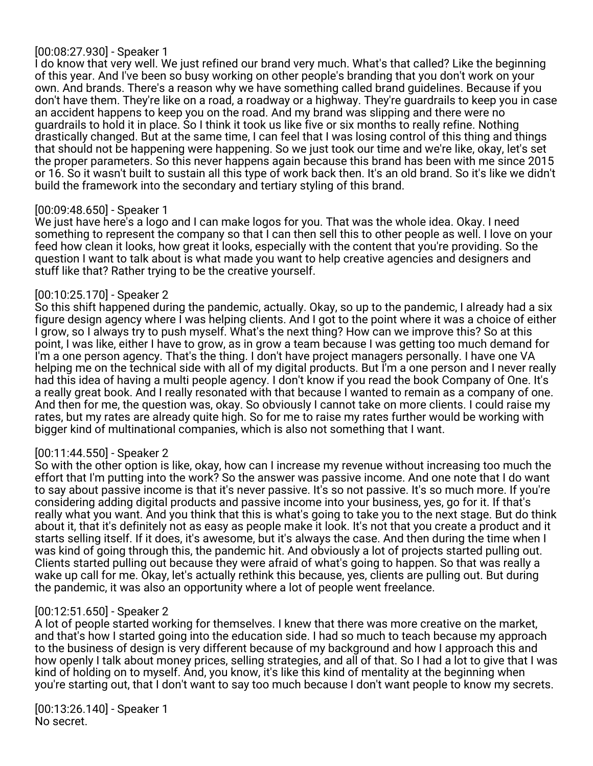## [00:08:27.930] - Speaker 1

I do know that very well. We just refined our brand very much. What's that called? Like the beginning of this year. And I've been so busy working on other people's branding that you don't work on your own. And brands. There's a reason why we have something called brand guidelines. Because if you don't have them. They're like on a road, a roadway or a highway. They're guardrails to keep you in case an accident happens to keep you on the road. And my brand was slipping and there were no guardrails to hold it in place. So I think it took us like five or six months to really refine. Nothing drastically changed. But at the same time, I can feel that I was losing control of this thing and things that should not be happening were happening. So we just took our time and we're like, okay, let's set the proper parameters. So this never happens again because this brand has been with me since 2015 or 16. So it wasn't built to sustain all this type of work back then. It's an old brand. So it's like we didn't build the framework into the secondary and tertiary styling of this brand.

## [00:09:48.650] - Speaker 1

We just have here's a logo and I can make logos for you. That was the whole idea. Okay. I need something to represent the company so that I can then sell this to other people as well. I love on your feed how clean it looks, how great it looks, especially with the content that you're providing. So the question I want to talk about is what made you want to help creative agencies and designers and stuff like that? Rather trying to be the creative yourself.

## [00:10:25.170] - Speaker 2

So this shift happened during the pandemic, actually. Okay, so up to the pandemic, I already had a six figure design agency where I was helping clients. And I got to the point where it was a choice of either I grow, so I always try to push myself. What's the next thing? How can we improve this? So at this point, I was like, either I have to grow, as in grow a team because I was getting too much demand for I'm a one person agency. That's the thing. I don't have project managers personally. I have one VA helping me on the technical side with all of my digital products. But I'm a one person and I never really had this idea of having a multi people agency. I don't know if you read the book Company of One. It's a really great book. And I really resonated with that because I wanted to remain as a company of one. And then for me, the question was, okay. So obviously I cannot take on more clients. I could raise my rates, but my rates are already quite high. So for me to raise my rates further would be working with bigger kind of multinational companies, which is also not something that I want.

## [00:11:44.550] - Speaker 2

So with the other option is like, okay, how can I increase my revenue without increasing too much the effort that I'm putting into the work? So the answer was passive income. And one note that I do want to say about passive income is that it's never passive. It's so not passive. It's so much more. If you're considering adding digital products and passive income into your business, yes, go for it. If that's really what you want. And you think that this is what's going to take you to the next stage. But do think about it, that it's definitely not as easy as people make it look. It's not that you create a product and it starts selling itself. If it does, it's awesome, but it's always the case. And then during the time when I was kind of going through this, the pandemic hit. And obviously a lot of projects started pulling out. Clients started pulling out because they were afraid of what's going to happen. So that was really a wake up call for me. Okay, let's actually rethink this because, yes, clients are pulling out. But during the pandemic, it was also an opportunity where a lot of people went freelance.

## [00:12:51.650] - Speaker 2

A lot of people started working for themselves. I knew that there was more creative on the market, and that's how I started going into the education side. I had so much to teach because my approach to the business of design is very different because of my background and how I approach this and how openly I talk about money prices, selling strategies, and all of that. So I had a lot to give that I was kind of holding on to myself. And, you know, it's like this kind of mentality at the beginning when you're starting out, that I don't want to say too much because I don't want people to know my secrets.

[00:13:26.140] - Speaker 1 No secret.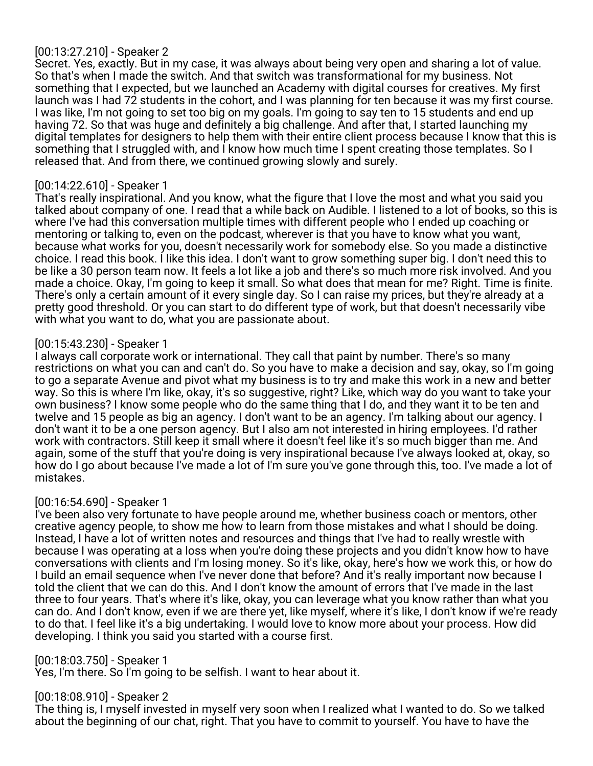# [00:13:27.210] - Speaker 2

Secret. Yes, exactly. But in my case, it was always about being very open and sharing a lot of value. So that's when I made the switch. And that switch was transformational for my business. Not something that I expected, but we launched an Academy with digital courses for creatives. My first launch was I had 72 students in the cohort, and I was planning for ten because it was my first course. I was like, I'm not going to set too big on my goals. I'm going to say ten to 15 students and end up having 72. So that was huge and definitely a big challenge. And after that, I started launching my digital templates for designers to help them with their entire client process because I know that this is something that I struggled with, and I know how much time I spent creating those templates. So I released that. And from there, we continued growing slowly and surely.

### [00:14:22.610] - Speaker 1

That's really inspirational. And you know, what the figure that I love the most and what you said you talked about company of one. I read that a while back on Audible. I listened to a lot of books, so this is where I've had this conversation multiple times with different people who I ended up coaching or mentoring or talking to, even on the podcast, wherever is that you have to know what you want, because what works for you, doesn't necessarily work for somebody else. So you made a distinctive choice. I read this book. I like this idea. I don't want to grow something super big. I don't need this to be like a 30 person team now. It feels a lot like a job and there's so much more risk involved. And you made a choice. Okay, I'm going to keep it small. So what does that mean for me? Right. Time is finite. There's only a certain amount of it every single day. So I can raise my prices, but they're already at a pretty good threshold. Or you can start to do different type of work, but that doesn't necessarily vibe with what you want to do, what you are passionate about.

#### [00:15:43.230] - Speaker 1

I always call corporate work or international. They call that paint by number. There's so many restrictions on what you can and can't do. So you have to make a decision and say, okay, so I'm going to go a separate Avenue and pivot what my business is to try and make this work in a new and better way. So this is where I'm like, okay, it's so suggestive, right? Like, which way do you want to take your own business? I know some people who do the same thing that I do, and they want it to be ten and twelve and 15 people as big an agency. I don't want to be an agency. I'm talking about our agency. I don't want it to be a one person agency. But I also am not interested in hiring employees. I'd rather work with contractors. Still keep it small where it doesn't feel like it's so much bigger than me. And again, some of the stuff that you're doing is very inspirational because I've always looked at, okay, so how do I go about because I've made a lot of I'm sure you've gone through this, too. I've made a lot of mistakes.

#### [00:16:54.690] - Speaker 1

I've been also very fortunate to have people around me, whether business coach or mentors, other creative agency people, to show me how to learn from those mistakes and what I should be doing. Instead, I have a lot of written notes and resources and things that I've had to really wrestle with because I was operating at a loss when you're doing these projects and you didn't know how to have conversations with clients and I'm losing money. So it's like, okay, here's how we work this, or how do I build an email sequence when I've never done that before? And it's really important now because I told the client that we can do this. And I don't know the amount of errors that I've made in the last three to four years. That's where it's like, okay, you can leverage what you know rather than what you can do. And I don't know, even if we are there yet, like myself, where it's like, I don't know if we're ready to do that. I feel like it's a big undertaking. I would love to know more about your process. How did developing. I think you said you started with a course first.

#### [00:18:03.750] - Speaker 1

Yes, I'm there. So I'm going to be selfish. I want to hear about it.

# [00:18:08.910] - Speaker 2

The thing is, I myself invested in myself very soon when I realized what I wanted to do. So we talked about the beginning of our chat, right. That you have to commit to yourself. You have to have the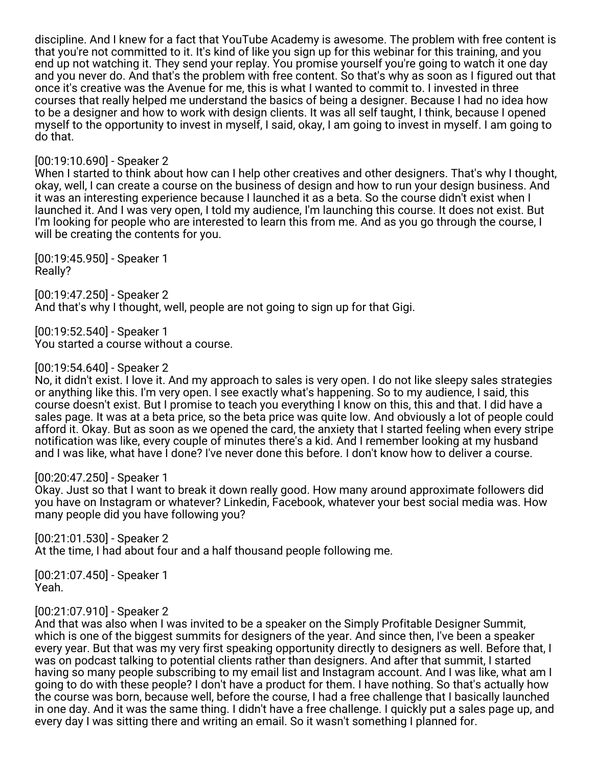discipline. And I knew for a fact that YouTube Academy is awesome. The problem with free content is that you're not committed to it. It's kind of like you sign up for this webinar for this training, and you end up not watching it. They send your replay. You promise yourself you're going to watch it one day and you never do. And that's the problem with free content. So that's why as soon as I figured out that once it's creative was the Avenue for me, this is what I wanted to commit to. I invested in three courses that really helped me understand the basics of being a designer. Because I had no idea how to be a designer and how to work with design clients. It was all self taught, I think, because I opened myself to the opportunity to invest in myself, I said, okay, I am going to invest in myself. I am going to do that.

#### [00:19:10.690] - Speaker 2

When I started to think about how can I help other creatives and other designers. That's why I thought, okay, well, I can create a course on the business of design and how to run your design business. And it was an interesting experience because I launched it as a beta. So the course didn't exist when I launched it. And I was very open, I told my audience, I'm launching this course. It does not exist. But I'm looking for people who are interested to learn this from me. And as you go through the course, I will be creating the contents for you.

[00:19:45.950] - Speaker 1 Really?

[00:19:47.250] - Speaker 2 And that's why I thought, well, people are not going to sign up for that Gigi.

[00:19:52.540] - Speaker 1 You started a course without a course.

#### [00:19:54.640] - Speaker 2

No, it didn't exist. I love it. And my approach to sales is very open. I do not like sleepy sales strategies or anything like this. I'm very open. I see exactly what's happening. So to my audience, I said, this course doesn't exist. But I promise to teach you everything I know on this, this and that. I did have a sales page. It was at a beta price, so the beta price was quite low. And obviously a lot of people could afford it. Okay. But as soon as we opened the card, the anxiety that I started feeling when every stripe notification was like, every couple of minutes there's a kid. And I remember looking at my husband and I was like, what have I done? I've never done this before. I don't know how to deliver a course.

#### [00:20:47.250] - Speaker 1

Okay. Just so that I want to break it down really good. How many around approximate followers did you have on Instagram or whatever? Linkedin, Facebook, whatever your best social media was. How many people did you have following you?

[00:21:01.530] - Speaker 2 At the time, I had about four and a half thousand people following me.

[00:21:07.450] - Speaker 1 Yeah.

#### [00:21:07.910] - Speaker 2

And that was also when I was invited to be a speaker on the Simply Profitable Designer Summit, which is one of the biggest summits for designers of the year. And since then, I've been a speaker every year. But that was my very first speaking opportunity directly to designers as well. Before that, I was on podcast talking to potential clients rather than designers. And after that summit, I started having so many people subscribing to my email list and Instagram account. And I was like, what am I going to do with these people? I don't have a product for them. I have nothing. So that's actually how the course was born, because well, before the course, I had a free challenge that I basically launched in one day. And it was the same thing. I didn't have a free challenge. I quickly put a sales page up, and every day I was sitting there and writing an email. So it wasn't something I planned for.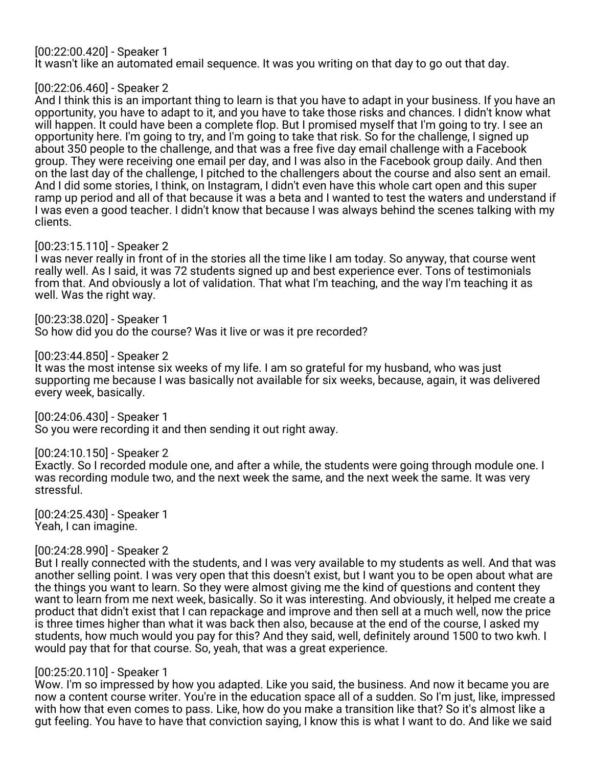[00:22:00.420] - Speaker 1

It wasn't like an automated email sequence. It was you writing on that day to go out that day.

# [00:22:06.460] - Speaker 2

And I think this is an important thing to learn is that you have to adapt in your business. If you have an opportunity, you have to adapt to it, and you have to take those risks and chances. I didn't know what will happen. It could have been a complete flop. But I promised myself that I'm going to try. I see an opportunity here. I'm going to try, and I'm going to take that risk. So for the challenge, I signed up about 350 people to the challenge, and that was a free five day email challenge with a Facebook group. They were receiving one email per day, and I was also in the Facebook group daily. And then on the last day of the challenge, I pitched to the challengers about the course and also sent an email. And I did some stories, I think, on Instagram, I didn't even have this whole cart open and this super ramp up period and all of that because it was a beta and I wanted to test the waters and understand if I was even a good teacher. I didn't know that because I was always behind the scenes talking with my clients.

## [00:23:15.110] - Speaker 2

I was never really in front of in the stories all the time like I am today. So anyway, that course went really well. As I said, it was 72 students signed up and best experience ever. Tons of testimonials from that. And obviously a lot of validation. That what I'm teaching, and the way I'm teaching it as well. Was the right way.

[00:23:38.020] - Speaker 1 So how did you do the course? Was it live or was it pre recorded?

[00:23:44.850] - Speaker 2

It was the most intense six weeks of my life. I am so grateful for my husband, who was just supporting me because I was basically not available for six weeks, because, again, it was delivered every week, basically.

[00:24:06.430] - Speaker 1

So you were recording it and then sending it out right away.

## [00:24:10.150] - Speaker 2

Exactly. So I recorded module one, and after a while, the students were going through module one. I was recording module two, and the next week the same, and the next week the same. It was very stressful.

[00:24:25.430] - Speaker 1 Yeah, I can imagine.

## [00:24:28.990] - Speaker 2

But I really connected with the students, and I was very available to my students as well. And that was another selling point. I was very open that this doesn't exist, but I want you to be open about what are the things you want to learn. So they were almost giving me the kind of questions and content they want to learn from me next week, basically. So it was interesting. And obviously, it helped me create a product that didn't exist that I can repackage and improve and then sell at a much well, now the price is three times higher than what it was back then also, because at the end of the course, I asked my students, how much would you pay for this? And they said, well, definitely around 1500 to two kwh. I would pay that for that course. So, yeah, that was a great experience.

## [00:25:20.110] - Speaker 1

Wow. I'm so impressed by how you adapted. Like you said, the business. And now it became you are now a content course writer. You're in the education space all of a sudden. So I'm just, like, impressed with how that even comes to pass. Like, how do you make a transition like that? So it's almost like a gut feeling. You have to have that conviction saying, I know this is what I want to do. And like we said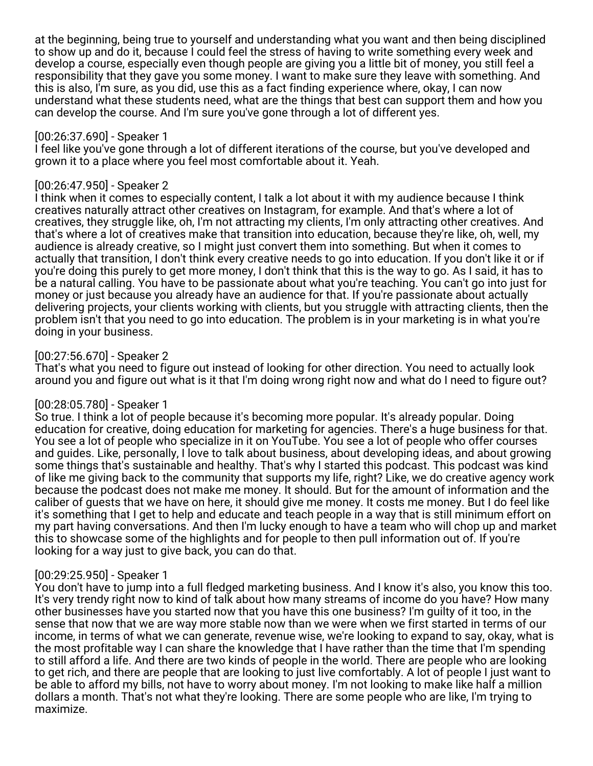at the beginning, being true to yourself and understanding what you want and then being disciplined to show up and do it, because I could feel the stress of having to write something every week and develop a course, especially even though people are giving you a little bit of money, you still feel a responsibility that they gave you some money. I want to make sure they leave with something. And this is also, I'm sure, as you did, use this as a fact finding experience where, okay, I can now understand what these students need, what are the things that best can support them and how you can develop the course. And I'm sure you've gone through a lot of different yes.

### [00:26:37.690] - Speaker 1

I feel like you've gone through a lot of different iterations of the course, but you've developed and grown it to a place where you feel most comfortable about it. Yeah.

### [00:26:47.950] - Speaker 2

I think when it comes to especially content, I talk a lot about it with my audience because I think creatives naturally attract other creatives on Instagram, for example. And that's where a lot of creatives, they struggle like, oh, I'm not attracting my clients, I'm only attracting other creatives. And that's where a lot of creatives make that transition into education, because they're like, oh, well, my audience is already creative, so I might just convert them into something. But when it comes to actually that transition, I don't think every creative needs to go into education. If you don't like it or if you're doing this purely to get more money, I don't think that this is the way to go. As I said, it has to be a natural calling. You have to be passionate about what you're teaching. You can't go into just for money or just because you already have an audience for that. If you're passionate about actually delivering projects, your clients working with clients, but you struggle with attracting clients, then the problem isn't that you need to go into education. The problem is in your marketing is in what you're doing in your business.

## [00:27:56.670] - Speaker 2

That's what you need to figure out instead of looking for other direction. You need to actually look around you and figure out what is it that I'm doing wrong right now and what do I need to figure out?

#### [00:28:05.780] - Speaker 1

So true. I think a lot of people because it's becoming more popular. It's already popular. Doing education for creative, doing education for marketing for agencies. There's a huge business for that. You see a lot of people who specialize in it on YouTube. You see a lot of people who offer courses and guides. Like, personally, I love to talk about business, about developing ideas, and about growing some things that's sustainable and healthy. That's why I started this podcast. This podcast was kind of like me giving back to the community that supports my life, right? Like, we do creative agency work because the podcast does not make me money. It should. But for the amount of information and the caliber of guests that we have on here, it should give me money. It costs me money. But I do feel like it's something that I get to help and educate and teach people in a way that is still minimum effort on my part having conversations. And then I'm lucky enough to have a team who will chop up and market this to showcase some of the highlights and for people to then pull information out of. If you're looking for a way just to give back, you can do that.

## [00:29:25.950] - Speaker 1

You don't have to jump into a full fledged marketing business. And I know it's also, you know this too. It's very trendy right now to kind of talk about how many streams of income do you have? How many other businesses have you started now that you have this one business? I'm guilty of it too, in the sense that now that we are way more stable now than we were when we first started in terms of our income, in terms of what we can generate, revenue wise, we're looking to expand to say, okay, what is the most profitable way I can share the knowledge that I have rather than the time that I'm spending to still afford a life. And there are two kinds of people in the world. There are people who are looking to get rich, and there are people that are looking to just live comfortably. A lot of people I just want to be able to afford my bills, not have to worry about money. I'm not looking to make like half a million dollars a month. That's not what they're looking. There are some people who are like, I'm trying to maximize.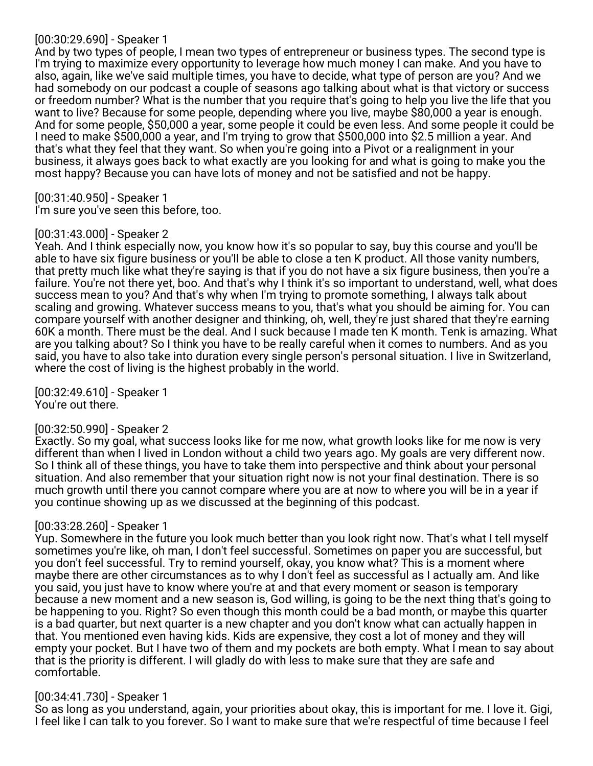## [00:30:29.690] - Speaker 1

And by two types of people, I mean two types of entrepreneur or business types. The second type is I'm trying to maximize every opportunity to leverage how much money I can make. And you have to also, again, like we've said multiple times, you have to decide, what type of person are you? And we had somebody on our podcast a couple of seasons ago talking about what is that victory or success or freedom number? What is the number that you require that's going to help you live the life that you want to live? Because for some people, depending where you live, maybe \$80,000 a year is enough. And for some people, \$50,000 a year, some people it could be even less. And some people it could be I need to make \$500,000 a year, and I'm trying to grow that \$500,000 into \$2.5 million a year. And that's what they feel that they want. So when you're going into a Pivot or a realignment in your business, it always goes back to what exactly are you looking for and what is going to make you the most happy? Because you can have lots of money and not be satisfied and not be happy.

[00:31:40.950] - Speaker 1 I'm sure you've seen this before, too.

#### [00:31:43.000] - Speaker 2

Yeah. And I think especially now, you know how it's so popular to say, buy this course and you'll be able to have six figure business or you'll be able to close a ten K product. All those vanity numbers, that pretty much like what they're saying is that if you do not have a six figure business, then you're a failure. You're not there yet, boo. And that's why I think it's so important to understand, well, what does success mean to you? And that's why when I'm trying to promote something, I always talk about scaling and growing. Whatever success means to you, that's what you should be aiming for. You can compare yourself with another designer and thinking, oh, well, they're just shared that they're earning 60K a month. There must be the deal. And I suck because I made ten K month. Tenk is amazing. What are you talking about? So I think you have to be really careful when it comes to numbers. And as you said, you have to also take into duration every single person's personal situation. I live in Switzerland, where the cost of living is the highest probably in the world.

[00:32:49.610] - Speaker 1 You're out there.

#### [00:32:50.990] - Speaker 2

Exactly. So my goal, what success looks like for me now, what growth looks like for me now is very different than when I lived in London without a child two years ago. My goals are very different now. So I think all of these things, you have to take them into perspective and think about your personal situation. And also remember that your situation right now is not your final destination. There is so much growth until there you cannot compare where you are at now to where you will be in a year if you continue showing up as we discussed at the beginning of this podcast.

## [00:33:28.260] - Speaker 1

Yup. Somewhere in the future you look much better than you look right now. That's what I tell myself sometimes you're like, oh man, I don't feel successful. Sometimes on paper you are successful, but you don't feel successful. Try to remind yourself, okay, you know what? This is a moment where maybe there are other circumstances as to why I don't feel as successful as I actually am. And like you said, you just have to know where you're at and that every moment or season is temporary because a new moment and a new season is, God willing, is going to be the next thing that's going to be happening to you. Right? So even though this month could be a bad month, or maybe this quarter is a bad quarter, but next quarter is a new chapter and you don't know what can actually happen in that. You mentioned even having kids. Kids are expensive, they cost a lot of money and they will empty your pocket. But I have two of them and my pockets are both empty. What I mean to say about that is the priority is different. I will gladly do with less to make sure that they are safe and comfortable.

## [00:34:41.730] - Speaker 1

So as long as you understand, again, your priorities about okay, this is important for me. I love it. Gigi, I feel like I can talk to you forever. So I want to make sure that we're respectful of time because I feel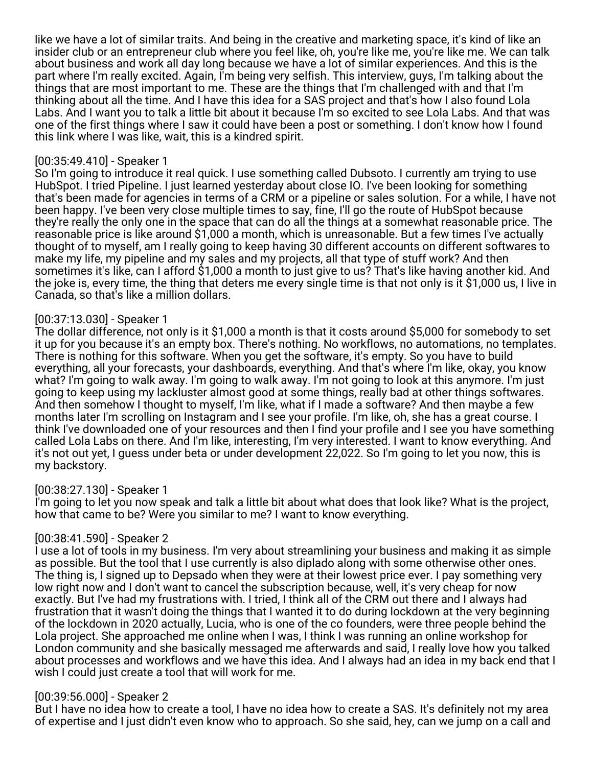like we have a lot of similar traits. And being in the creative and marketing space, it's kind of like an insider club or an entrepreneur club where you feel like, oh, you're like me, you're like me. We can talk about business and work all day long because we have a lot of similar experiences. And this is the part where I'm really excited. Again, I'm being very selfish. This interview, guys, I'm talking about the things that are most important to me. These are the things that I'm challenged with and that I'm thinking about all the time. And I have this idea for a SAS project and that's how I also found Lola Labs. And I want you to talk a little bit about it because I'm so excited to see Lola Labs. And that was one of the first things where I saw it could have been a post or something. I don't know how I found this link where I was like, wait, this is a kindred spirit.

#### [00:35:49.410] - Speaker 1

So I'm going to introduce it real quick. I use something called Dubsoto. I currently am trying to use HubSpot. I tried Pipeline. I just learned yesterday about close IO. I've been looking for something that's been made for agencies in terms of a CRM or a pipeline or sales solution. For a while, I have not been happy. I've been very close multiple times to say, fine, I'll go the route of HubSpot because they're really the only one in the space that can do all the things at a somewhat reasonable price. The reasonable price is like around \$1,000 a month, which is unreasonable. But a few times I've actually thought of to myself, am I really going to keep having 30 different accounts on different softwares to make my life, my pipeline and my sales and my projects, all that type of stuff work? And then sometimes it's like, can I afford \$1,000 a month to just give to us? That's like having another kid. And the joke is, every time, the thing that deters me every single time is that not only is it \$1,000 us, I live in Canada, so that's like a million dollars.

#### [00:37:13.030] - Speaker 1

The dollar difference, not only is it \$1,000 a month is that it costs around \$5,000 for somebody to set it up for you because it's an empty box. There's nothing. No workflows, no automations, no templates. There is nothing for this software. When you get the software, it's empty. So you have to build everything, all your forecasts, your dashboards, everything. And that's where I'm like, okay, you know what? I'm going to walk away. I'm going to walk away. I'm not going to look at this anymore. I'm just going to keep using my lackluster almost good at some things, really bad at other things softwares. And then somehow I thought to myself, I'm like, what if I made a software? And then maybe a few months later I'm scrolling on Instagram and I see your profile. I'm like, oh, she has a great course. I think I've downloaded one of your resources and then I find your profile and I see you have something called Lola Labs on there. And I'm like, interesting, I'm very interested. I want to know everything. And it's not out yet, I guess under beta or under development 22,022. So I'm going to let you now, this is my backstory.

#### [00:38:27.130] - Speaker 1

I'm going to let you now speak and talk a little bit about what does that look like? What is the project, how that came to be? Were you similar to me? I want to know everything.

#### [00:38:41.590] - Speaker 2

I use a lot of tools in my business. I'm very about streamlining your business and making it as simple as possible. But the tool that I use currently is also diplado along with some otherwise other ones. The thing is, I signed up to Depsado when they were at their lowest price ever. I pay something very low right now and I don't want to cancel the subscription because, well, it's very cheap for now exactly. But I've had my frustrations with. I tried, I think all of the CRM out there and I always had frustration that it wasn't doing the things that I wanted it to do during lockdown at the very beginning of the lockdown in 2020 actually, Lucia, who is one of the co founders, were three people behind the Lola project. She approached me online when I was, I think I was running an online workshop for London community and she basically messaged me afterwards and said, I really love how you talked about processes and workflows and we have this idea. And I always had an idea in my back end that I wish I could just create a tool that will work for me.

#### [00:39:56.000] - Speaker 2

But I have no idea how to create a tool, I have no idea how to create a SAS. It's definitely not my area of expertise and I just didn't even know who to approach. So she said, hey, can we jump on a call and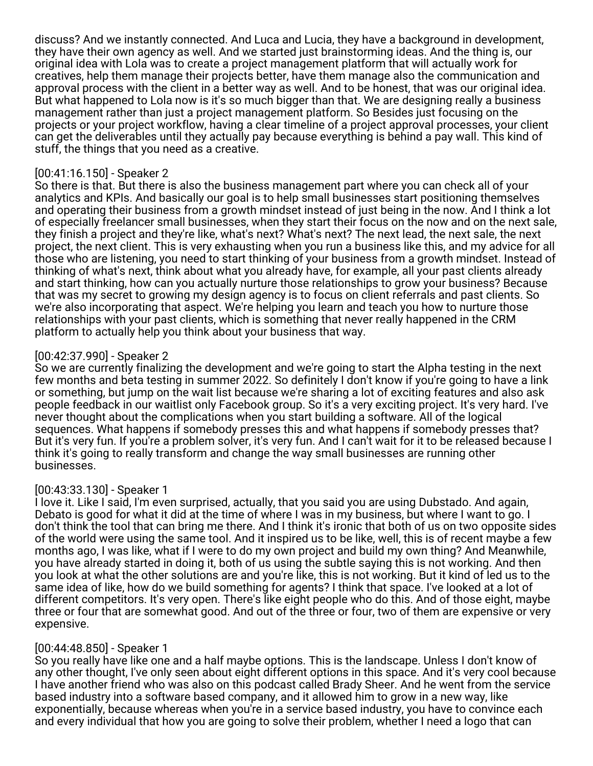discuss? And we instantly connected. And Luca and Lucia, they have a background in development, they have their own agency as well. And we started just brainstorming ideas. And the thing is, our original idea with Lola was to create a project management platform that will actually work for creatives, help them manage their projects better, have them manage also the communication and approval process with the client in a better way as well. And to be honest, that was our original idea. But what happened to Lola now is it's so much bigger than that. We are designing really a business management rather than just a project management platform. So Besides just focusing on the projects or your project workflow, having a clear timeline of a project approval processes, your client can get the deliverables until they actually pay because everything is behind a pay wall. This kind of stuff, the things that you need as a creative.

## [00:41:16.150] - Speaker 2

So there is that. But there is also the business management part where you can check all of your analytics and KPIs. And basically our goal is to help small businesses start positioning themselves and operating their business from a growth mindset instead of just being in the now. And I think a lot of especially freelancer small businesses, when they start their focus on the now and on the next sale, they finish a project and they're like, what's next? What's next? The next lead, the next sale, the next project, the next client. This is very exhausting when you run a business like this, and my advice for all those who are listening, you need to start thinking of your business from a growth mindset. Instead of thinking of what's next, think about what you already have, for example, all your past clients already and start thinking, how can you actually nurture those relationships to grow your business? Because that was my secret to growing my design agency is to focus on client referrals and past clients. So we're also incorporating that aspect. We're helping you learn and teach you how to nurture those relationships with your past clients, which is something that never really happened in the CRM platform to actually help you think about your business that way.

# [00:42:37.990] - Speaker 2

So we are currently finalizing the development and we're going to start the Alpha testing in the next few months and beta testing in summer 2022. So definitely I don't know if you're going to have a link or something, but jump on the wait list because we're sharing a lot of exciting features and also ask people feedback in our waitlist only Facebook group. So it's a very exciting project. It's very hard. I've never thought about the complications when you start building a software. All of the logical sequences. What happens if somebody presses this and what happens if somebody presses that? But it's very fun. If you're a problem solver, it's very fun. And I can't wait for it to be released because I think it's going to really transform and change the way small businesses are running other businesses.

## [00:43:33.130] - Speaker 1

I love it. Like I said, I'm even surprised, actually, that you said you are using Dubstado. And again, Debato is good for what it did at the time of where I was in my business, but where I want to go. I don't think the tool that can bring me there. And I think it's ironic that both of us on two opposite sides of the world were using the same tool. And it inspired us to be like, well, this is of recent maybe a few months ago, I was like, what if I were to do my own project and build my own thing? And Meanwhile, you have already started in doing it, both of us using the subtle saying this is not working. And then you look at what the other solutions are and you're like, this is not working. But it kind of led us to the same idea of like, how do we build something for agents? I think that space. I've looked at a lot of different competitors. It's very open. There's like eight people who do this. And of those eight, maybe three or four that are somewhat good. And out of the three or four, two of them are expensive or very expensive.

## [00:44:48.850] - Speaker 1

So you really have like one and a half maybe options. This is the landscape. Unless I don't know of any other thought, I've only seen about eight different options in this space. And it's very cool because I have another friend who was also on this podcast called Brady Sheer. And he went from the service based industry into a software based company, and it allowed him to grow in a new way, like exponentially, because whereas when you're in a service based industry, you have to convince each and every individual that how you are going to solve their problem, whether I need a logo that can